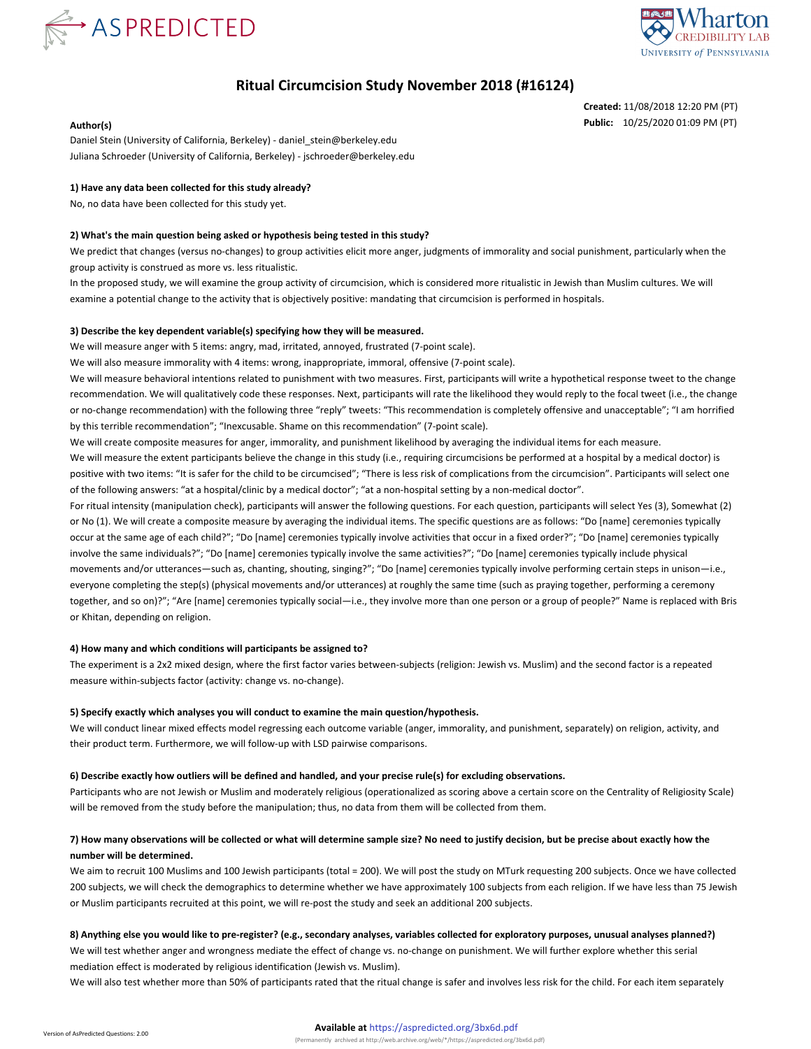



# **Ritual Circumcision Study November 2018 (#16124)**

**Created:** 11/08/2018 12:20 PM (PT) **Author(s) Public:** 10/25/2020 01:09 PM (PT)

Daniel Stein (University of California, Berkeley) - daniel\_stein@berkeley.edu Juliana Schroeder (University of California, Berkeley) - jschroeder@berkeley.edu

## **1) Have any data been collected for this study already?**

No, no data have been collected for this study yet.

#### **2) What's the main question being asked or hypothesis being tested in this study?**

We predict that changes (versus no-changes) to group activities elicit more anger, judgments of immorality and social punishment, particularly when the group activity is construed as more vs. less ritualistic.

In the proposed study, we will examine the group activity of circumcision, which is considered more ritualistic in Jewish than Muslim cultures. We will examine a potential change to the activity that is objectively positive: mandating that circumcision is performed in hospitals.

#### **3) Describe the key dependent variable(s) specifying how they will be measured.**

We will measure anger with 5 items: angry, mad, irritated, annoyed, frustrated (7-point scale).

We will also measure immorality with 4 items: wrong, inappropriate, immoral, offensive (7-point scale).

We will measure behavioral intentions related to punishment with two measures. First, participants will write a hypothetical response tweet to the change recommendation. We will qualitatively code these responses. Next, participants will rate the likelihood they would reply to the focal tweet (i.e., the change or no-change recommendation) with the following three "reply" tweets: "This recommendation is completely offensive and unacceptable"; "I am horrified by this terrible recommendation"; "Inexcusable. Shame on this recommendation" (7-point scale).

We will create composite measures for anger, immorality, and punishment likelihood by averaging the individual items for each measure.

We will measure the extent participants believe the change in this study (i.e., requiring circumcisions be performed at a hospital by a medical doctor) is positive with two items: "It is safer for the child to be circumcised"; "There is less risk of complications from the circumcision". Participants will select one of the following answers: "at a hospital/clinic by a medical doctor"; "at a non-hospital setting by a non-medical doctor".

For ritual intensity (manipulation check), participants will answer the following questions. For each question, participants will select Yes (3), Somewhat (2) or No (1). We will create a composite measure by averaging the individual items. The specific questions are as follows: "Do [name] ceremonies typically occur at the same age of each child?"; "Do [name] ceremonies typically involve activities that occur in a fixed order?"; "Do [name] ceremonies typically involve the same individuals?"; "Do [name] ceremonies typically involve the same activities?"; "Do [name] ceremonies typically include physical movements and/or utterances—such as, chanting, shouting, singing?"; "Do [name] ceremonies typically involve performing certain steps in unison—i.e., everyone completing the step(s) (physical movements and/or utterances) at roughly the same time (such as praying together, performing a ceremony together, and so on)?"; "Are [name] ceremonies typically social—i.e., they involve more than one person or a group of people?" Name is replaced with Bris or Khitan, depending on religion.

### **4) How many and which conditions will participants be assigned to?**

The experiment is a 2x2 mixed design, where the first factor varies between-subjects (religion: Jewish vs. Muslim) and the second factor is a repeated measure within-subjects factor (activity: change vs. no-change).

### **5) Specify exactly which analyses you will conduct to examine the main question/hypothesis.**

We will conduct linear mixed effects model regressing each outcome variable (anger, immorality, and punishment, separately) on religion, activity, and their product term. Furthermore, we will follow-up with LSD pairwise comparisons.

#### **6) Describe exactly how outliers will be defined and handled, and your precise rule(s) for excluding observations.**

Participants who are not Jewish or Muslim and moderately religious (operationalized as scoring above a certain score on the Centrality of Religiosity Scale) will be removed from the study before the manipulation; thus, no data from them will be collected from them.

## **7) How many observations will be collected or what will determine sample size? No need to justify decision, but be precise about exactly how the number will be determined.**

We aim to recruit 100 Muslims and 100 Jewish participants (total = 200). We will post the study on MTurk requesting 200 subjects. Once we have collected 200 subjects, we will check the demographics to determine whether we have approximately 100 subjects from each religion. If we have less than 75 Jewish or Muslim participants recruited at this point, we will re-post the study and seek an additional 200 subjects.

### **8) Anything else you would like to pre-register? (e.g., secondary analyses, variables collected for exploratory purposes, unusual analyses planned?)**

We will test whether anger and wrongness mediate the effect of change vs. no-change on punishment. We will further explore whether this serial mediation effect is moderated by religious identification (Jewish vs. Muslim).

We will also test whether more than 50% of participants rated that the ritual change is safer and involves less risk for the child. For each item separately

#### **Available at** https://aspredicted.org/3bx6d.pdf (Permanently archived at http://web.archive.org/web/\*/https://aspredicted.org/3bx6d.pdf)